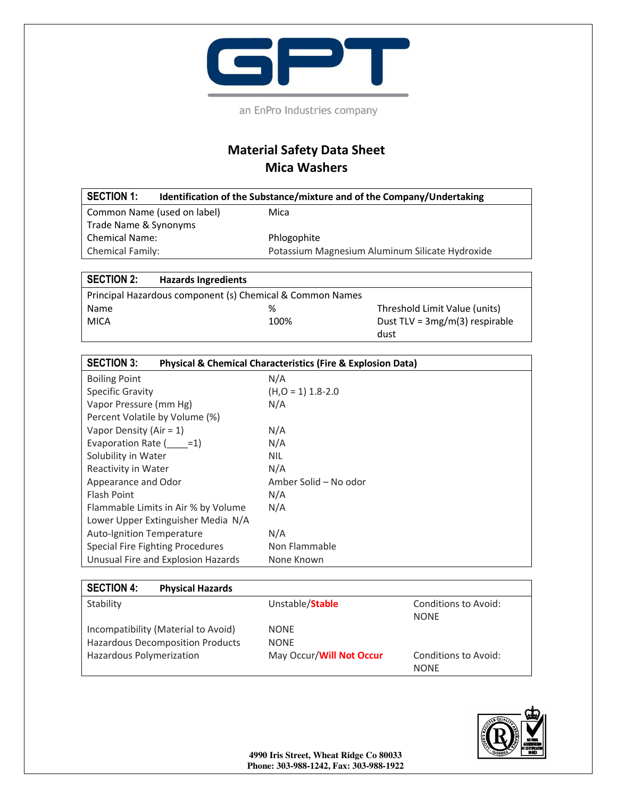

an EnPro Industries company

## **Material Safety Data Sheet Mica Washers**

| <b>SECTION 1:</b>           | Identification of the Substance/mixture and of the Company/Undertaking |
|-----------------------------|------------------------------------------------------------------------|
| Common Name (used on label) | Mica                                                                   |
| Trade Name & Synonyms       |                                                                        |
| <b>Chemical Name:</b>       | Phlogophite                                                            |
| <b>Chemical Family:</b>     | Potassium Magnesium Aluminum Silicate Hydroxide                        |

## **SECTION 2: Hazards Ingredients**

| Principal Hazardous component (s) Chemical & Common Names |      |                                  |
|-----------------------------------------------------------|------|----------------------------------|
| Name                                                      | %    | Threshold Limit Value (units)    |
| MICA                                                      | 100% | Dust TLV = $3mg/m(3)$ respirable |
|                                                           |      | dust                             |

| <b>SECTION 3:</b><br><b>Physical &amp; Chemical Characteristics (Fire &amp; Explosion Data)</b> |                       |  |
|-------------------------------------------------------------------------------------------------|-----------------------|--|
| <b>Boiling Point</b>                                                                            | N/A                   |  |
| <b>Specific Gravity</b>                                                                         | $(H, O = 1)$ 1.8-2.0  |  |
| Vapor Pressure (mm Hg)                                                                          | N/A                   |  |
| Percent Volatile by Volume (%)                                                                  |                       |  |
| Vapor Density (Air = $1$ )                                                                      | N/A                   |  |
| Evaporation Rate $($ =1)                                                                        | N/A                   |  |
| Solubility in Water                                                                             | <b>NIL</b>            |  |
| Reactivity in Water                                                                             | N/A                   |  |
| Appearance and Odor                                                                             | Amber Solid – No odor |  |
| Flash Point                                                                                     | N/A                   |  |
| Flammable Limits in Air % by Volume                                                             | N/A                   |  |
| Lower Upper Extinguisher Media N/A                                                              |                       |  |
| Auto-Ignition Temperature                                                                       | N/A                   |  |
| <b>Special Fire Fighting Procedures</b>                                                         | Non Flammable         |  |
| Unusual Fire and Explosion Hazards                                                              | None Known            |  |

| <b>SECTION 4:</b><br><b>Physical Hazards</b>                                                               |                                                        |                                            |
|------------------------------------------------------------------------------------------------------------|--------------------------------------------------------|--------------------------------------------|
| Stability                                                                                                  | Unstable/Stable                                        | Conditions to Avoid:<br><b>NONF</b>        |
| Incompatibility (Material to Avoid)<br><b>Hazardous Decomposition Products</b><br>Hazardous Polymerization | <b>NONE</b><br><b>NONE</b><br>May Occur/Will Not Occur | <b>Conditions to Avoid:</b><br><b>NONF</b> |